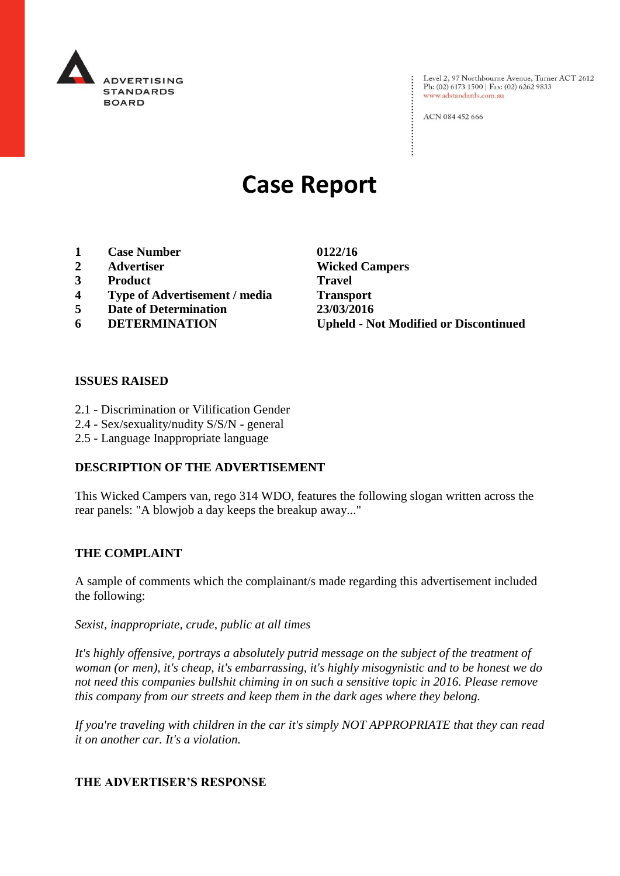

Evel 2, 97 Northbourne Avenue, Turner ACT 2612<br>Ph: (02) 6173 1500 | Fax: (02) 6262 9833 Ph: (02) 6173 1500 | Fax: (02) 6262 9833 www.adstandards.com.au

ACN 084 452 666

# **Case Report**

- **1 Case Number 0122/16**
- 
- **3 Product Travel**
- **4 Type of Advertisement / media Transport**
- **5 Date of Determination 23/03/2016**
- 

**2 Advertiser Wicked Campers 6 DETERMINATION Upheld - Not Modified or Discontinued**

 $\vdots$ 

### **ISSUES RAISED**

- 2.1 Discrimination or Vilification Gender
- 2.4 Sex/sexuality/nudity S/S/N general
- 2.5 Language Inappropriate language

## **DESCRIPTION OF THE ADVERTISEMENT**

This Wicked Campers van, rego 314 WDO, features the following slogan written across the rear panels: "A blowjob a day keeps the breakup away..."

#### **THE COMPLAINT**

A sample of comments which the complainant/s made regarding this advertisement included the following:

*Sexist, inappropriate, crude, public at all times*

*It's highly offensive, portrays a absolutely putrid message on the subject of the treatment of woman (or men), it's cheap, it's embarrassing, it's highly misogynistic and to be honest we do not need this companies bullshit chiming in on such a sensitive topic in 2016. Please remove this company from our streets and keep them in the dark ages where they belong.* 

*If you're traveling with children in the car it's simply NOT APPROPRIATE that they can read it on another car. It's a violation.* 

## **THE ADVERTISER'S RESPONSE**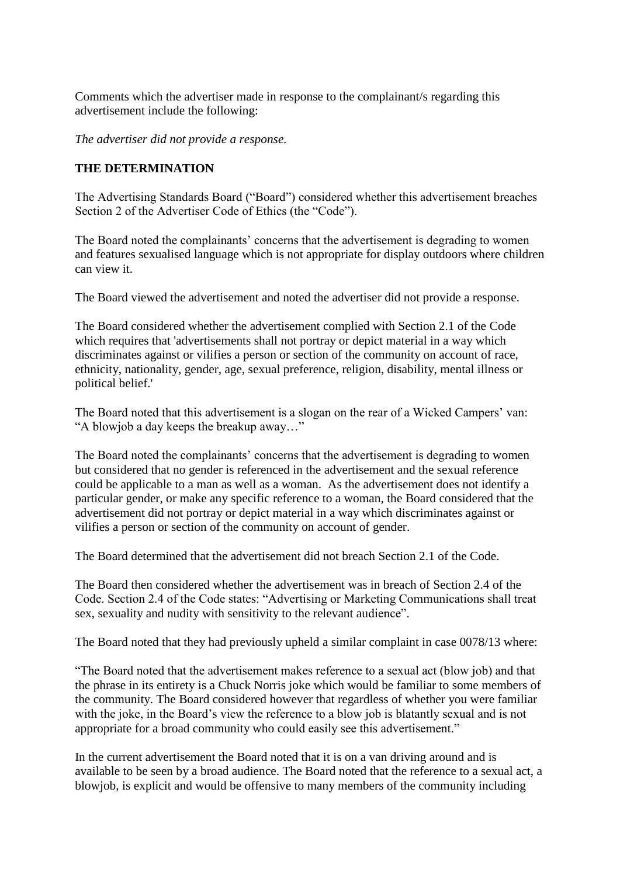Comments which the advertiser made in response to the complainant/s regarding this advertisement include the following:

*The advertiser did not provide a response.*

## **THE DETERMINATION**

The Advertising Standards Board ("Board") considered whether this advertisement breaches Section 2 of the Advertiser Code of Ethics (the "Code").

The Board noted the complainants' concerns that the advertisement is degrading to women and features sexualised language which is not appropriate for display outdoors where children can view it.

The Board viewed the advertisement and noted the advertiser did not provide a response.

The Board considered whether the advertisement complied with Section 2.1 of the Code which requires that 'advertisements shall not portray or depict material in a way which discriminates against or vilifies a person or section of the community on account of race, ethnicity, nationality, gender, age, sexual preference, religion, disability, mental illness or political belief.'

The Board noted that this advertisement is a slogan on the rear of a Wicked Campers' van: "A blowjob a day keeps the breakup away…"

The Board noted the complainants' concerns that the advertisement is degrading to women but considered that no gender is referenced in the advertisement and the sexual reference could be applicable to a man as well as a woman. As the advertisement does not identify a particular gender, or make any specific reference to a woman, the Board considered that the advertisement did not portray or depict material in a way which discriminates against or vilifies a person or section of the community on account of gender.

The Board determined that the advertisement did not breach Section 2.1 of the Code.

The Board then considered whether the advertisement was in breach of Section 2.4 of the Code. Section 2.4 of the Code states: "Advertising or Marketing Communications shall treat sex, sexuality and nudity with sensitivity to the relevant audience".

The Board noted that they had previously upheld a similar complaint in case 0078/13 where:

"The Board noted that the advertisement makes reference to a sexual act (blow job) and that the phrase in its entirety is a Chuck Norris joke which would be familiar to some members of the community. The Board considered however that regardless of whether you were familiar with the joke, in the Board's view the reference to a blow job is blatantly sexual and is not appropriate for a broad community who could easily see this advertisement."

In the current advertisement the Board noted that it is on a van driving around and is available to be seen by a broad audience. The Board noted that the reference to a sexual act, a blowjob, is explicit and would be offensive to many members of the community including